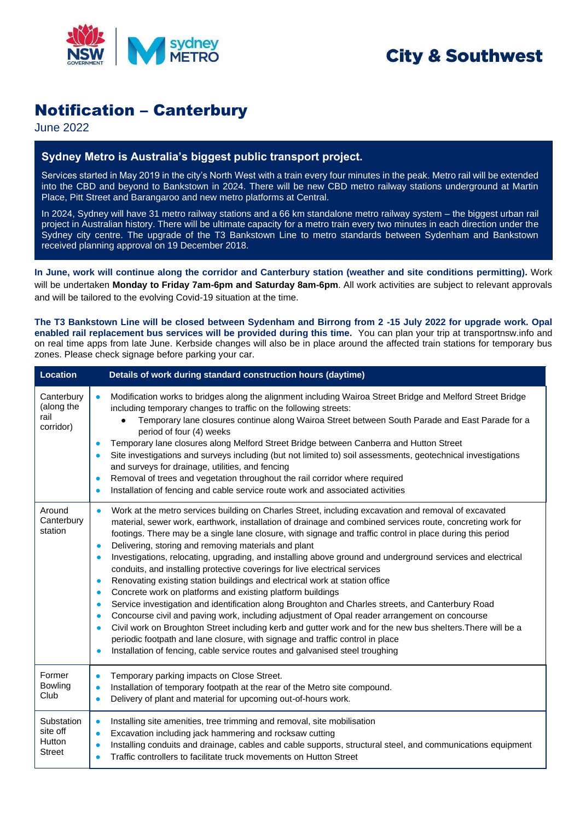

# **City & Southwest**

## Notification – Canterbury

June 2022

### **Sydney Metro is Australia's biggest public transport project.**

Services started in May 2019 in the city's North West with a train every four minutes in the peak. Metro rail will be extended into the CBD and beyond to Bankstown in 2024. There will be new CBD metro railway stations underground at Martin Place, Pitt Street and Barangaroo and new metro platforms at Central.

In 2024, Sydney will have 31 metro railway stations and a 66 km standalone metro railway system – the biggest urban rail project in Australian history. There will be ultimate capacity for a metro train every two minutes in each direction under the Sydney city centre. The upgrade of the T3 Bankstown Line to metro standards between Sydenham and Bankstown received planning approval on 19 December 2018.

**In June, work will continue along the corridor and Canterbury station (weather and site conditions permitting).** Work will be undertaken **Monday to Friday 7am-6pm and Saturday 8am-6pm**. All work activities are subject to relevant approvals and will be tailored to the evolving Covid-19 situation at the time.

**The T3 Bankstown Line will be closed between Sydenham and Birrong from 2 -15 July 2022 for upgrade work. Opal enabled rail replacement bus services will be provided during this time.** You can plan your trip at [transportnsw.info](https://transportnsw.info/) and on real time apps from late June. Kerbside changes will also be in place around the affected train stations for temporary bus zones. Please check signage before parking your car.

| <b>Location</b>                                   | Details of work during standard construction hours (daytime)                                                                                                                                                                                                                                                                                                                                                                                                                                                                                                                                                                                                                                                                                                                                                                                                                                                                                                                                                                                                                                                                                                                                                                                                                                                                                 |
|---------------------------------------------------|----------------------------------------------------------------------------------------------------------------------------------------------------------------------------------------------------------------------------------------------------------------------------------------------------------------------------------------------------------------------------------------------------------------------------------------------------------------------------------------------------------------------------------------------------------------------------------------------------------------------------------------------------------------------------------------------------------------------------------------------------------------------------------------------------------------------------------------------------------------------------------------------------------------------------------------------------------------------------------------------------------------------------------------------------------------------------------------------------------------------------------------------------------------------------------------------------------------------------------------------------------------------------------------------------------------------------------------------|
| Canterbury<br>(along the<br>rail<br>corridor)     | Modification works to bridges along the alignment including Wairoa Street Bridge and Melford Street Bridge<br>$\bullet$<br>including temporary changes to traffic on the following streets:<br>Temporary lane closures continue along Wairoa Street between South Parade and East Parade for a<br>period of four (4) weeks<br>Temporary lane closures along Melford Street Bridge between Canberra and Hutton Street<br>$\bullet$<br>Site investigations and surveys including (but not limited to) soil assessments, geotechnical investigations<br>$\bullet$<br>and surveys for drainage, utilities, and fencing<br>Removal of trees and vegetation throughout the rail corridor where required<br>$\bullet$<br>Installation of fencing and cable service route work and associated activities<br>$\bullet$                                                                                                                                                                                                                                                                                                                                                                                                                                                                                                                                |
| Around<br>Canterbury<br>station                   | Work at the metro services building on Charles Street, including excavation and removal of excavated<br>$\bullet$<br>material, sewer work, earthwork, installation of drainage and combined services route, concreting work for<br>footings. There may be a single lane closure, with signage and traffic control in place during this period<br>Delivering, storing and removing materials and plant<br>$\bullet$<br>Investigations, relocating, upgrading, and installing above ground and underground services and electrical<br>$\bullet$<br>conduits, and installing protective coverings for live electrical services<br>Renovating existing station buildings and electrical work at station office<br>$\bullet$<br>Concrete work on platforms and existing platform buildings<br>$\bullet$<br>Service investigation and identification along Broughton and Charles streets, and Canterbury Road<br>$\bullet$<br>Concourse civil and paving work, including adjustment of Opal reader arrangement on concourse<br>$\bullet$<br>Civil work on Broughton Street including kerb and gutter work and for the new bus shelters. There will be a<br>$\bullet$<br>periodic footpath and lane closure, with signage and traffic control in place<br>Installation of fencing, cable service routes and galvanised steel troughing<br>$\bullet$ |
| Former<br><b>Bowling</b><br>Club                  | Temporary parking impacts on Close Street.<br>$\bullet$<br>Installation of temporary footpath at the rear of the Metro site compound.<br>$\bullet$<br>Delivery of plant and material for upcoming out-of-hours work.                                                                                                                                                                                                                                                                                                                                                                                                                                                                                                                                                                                                                                                                                                                                                                                                                                                                                                                                                                                                                                                                                                                         |
| Substation<br>site off<br>Hutton<br><b>Street</b> | Installing site amenities, tree trimming and removal, site mobilisation<br>$\bullet$<br>Excavation including jack hammering and rocksaw cutting<br>$\bullet$<br>Installing conduits and drainage, cables and cable supports, structural steel, and communications equipment<br>$\bullet$<br>Traffic controllers to facilitate truck movements on Hutton Street<br>$\bullet$                                                                                                                                                                                                                                                                                                                                                                                                                                                                                                                                                                                                                                                                                                                                                                                                                                                                                                                                                                  |